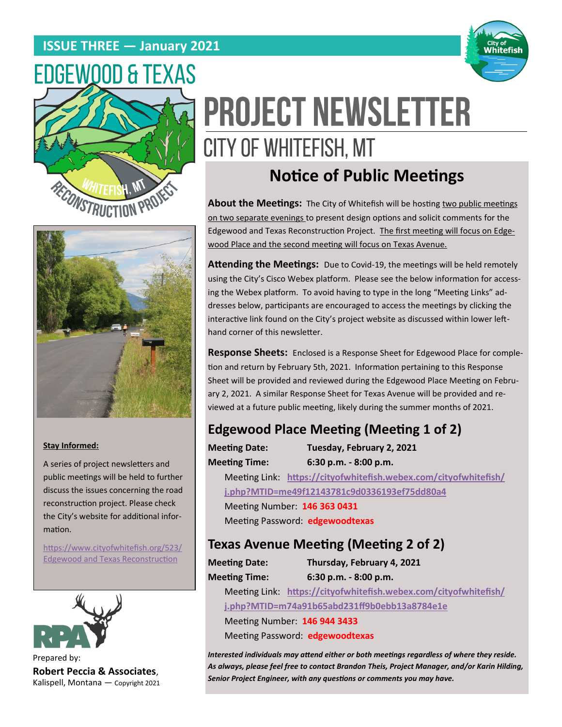## **ISSUE THREE — January 2021**







#### **Stay Informed:**

A series of project newsletters and public meetings will be held to further discuss the issues concerning the road reconstruction project. Please check the City's website for additional information.

[https://www.cityofwhitefish.org/523/](https://www.cityofwhitefish.org/523/Edgewood%20and%20Texas%20Reconstruction) [Edgewood and Texas Reconstruction](https://www.cityofwhitefish.org/523/Edgewood%20and%20Texas%20Reconstruction)



Prepared by: **Robert Peccia & Associates**, Kalispell, Montana — Copyright 2021

# **PROJECT NEWSLETTER** CITY OF WHITEFISH, MT

# **Notice of Public Meetings**

**About the Meetings:** The City of Whitefish will be hosting two public meetings on two separate evenings to present design options and solicit comments for the Edgewood and Texas Reconstruction Project. The first meeting will focus on Edgewood Place and the second meeting will focus on Texas Avenue.

**Attending the Meetings:** Due to Covid-19, the meetings will be held remotely using the City's Cisco Webex platform. Please see the below information for accessing the Webex platform. To avoid having to type in the long "Meeting Links" addresses below, participants are encouraged to access the meetings by clicking the interactive link found on the City's project website as discussed within lower lefthand corner of this newsletter.

**Response Sheets:** Enclosed is a Response Sheet for Edgewood Place for completion and return by February 5th, 2021. Information pertaining to this Response Sheet will be provided and reviewed during the Edgewood Place Meeting on February 2, 2021. A similar Response Sheet for Texas Avenue will be provided and reviewed at a future public meeting, likely during the summer months of 2021.

### **Edgewood Place Meeting (Meeting 1 of 2)**

**Meeting Date: Tuesday, February 2, 2021 Meeting Time: 6:30 p.m. - 8:00 p.m.** Meeting Link: **[https://cityofwhitefish.webex.com/cityofwhitefish/](https://cityofwhitefish.webex.com/cityofwhitefish/j.php?MTID=me49f12143781c9d0336193ef75dd80a4) [j.php?MTID=me49f12143781c9d0336193ef75dd80a4](https://cityofwhitefish.webex.com/cityofwhitefish/j.php?MTID=me49f12143781c9d0336193ef75dd80a4)** Meeting Number: **146 363 0431**  Meeting Password: **edgewoodtexas**

#### **Texas Avenue Meeting (Meeting 2 of 2)**

**Meeting Date: Thursday, February 4, 2021 Meeting Time: 6:30 p.m. - 8:00 p.m.**

Meeting Link: **[https://cityofwhitefish.webex.com/cityofwhitefish/](https://cityofwhitefish.webex.com/cityofwhitefish/j.php?MTID=m74a91b65abd231ff9b0ebb13a8784e1e) [j.php?MTID=m74a91b65abd231ff9b0ebb13a8784e1e](https://cityofwhitefish.webex.com/cityofwhitefish/j.php?MTID=m74a91b65abd231ff9b0ebb13a8784e1e)**

Meeting Number: **146 944 3433** 

Meeting Password: **edgewoodtexas**

*Interested individuals may attend either or both meetings regardless of where they reside. As always, please feel free to contact Brandon Theis, Project Manager, and/or Karin Hilding, Senior Project Engineer, with any questions or comments you may have.*